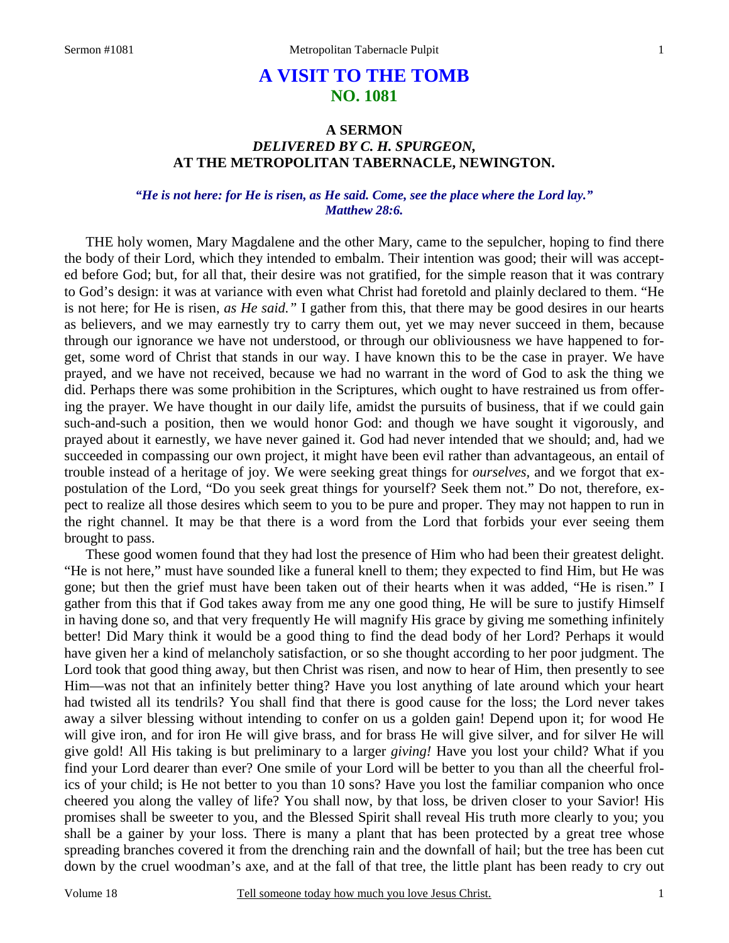# **A VISIT TO THE TOMB NO. 1081**

## **A SERMON**  *DELIVERED BY C. H. SPURGEON,*  **AT THE METROPOLITAN TABERNACLE, NEWINGTON.**

### *"He is not here: for He is risen, as He said. Come, see the place where the Lord lay." Matthew 28:6.*

THE holy women, Mary Magdalene and the other Mary, came to the sepulcher, hoping to find there the body of their Lord, which they intended to embalm. Their intention was good; their will was accepted before God; but, for all that, their desire was not gratified, for the simple reason that it was contrary to God's design: it was at variance with even what Christ had foretold and plainly declared to them. "He is not here; for He is risen, *as He said."* I gather from this, that there may be good desires in our hearts as believers, and we may earnestly try to carry them out, yet we may never succeed in them, because through our ignorance we have not understood, or through our obliviousness we have happened to forget, some word of Christ that stands in our way. I have known this to be the case in prayer. We have prayed, and we have not received, because we had no warrant in the word of God to ask the thing we did. Perhaps there was some prohibition in the Scriptures, which ought to have restrained us from offering the prayer. We have thought in our daily life, amidst the pursuits of business, that if we could gain such-and-such a position, then we would honor God: and though we have sought it vigorously, and prayed about it earnestly, we have never gained it. God had never intended that we should; and, had we succeeded in compassing our own project, it might have been evil rather than advantageous, an entail of trouble instead of a heritage of joy. We were seeking great things for *ourselves,* and we forgot that expostulation of the Lord, "Do you seek great things for yourself? Seek them not." Do not, therefore, expect to realize all those desires which seem to you to be pure and proper. They may not happen to run in the right channel. It may be that there is a word from the Lord that forbids your ever seeing them brought to pass.

These good women found that they had lost the presence of Him who had been their greatest delight. "He is not here," must have sounded like a funeral knell to them; they expected to find Him, but He was gone; but then the grief must have been taken out of their hearts when it was added, "He is risen." I gather from this that if God takes away from me any one good thing, He will be sure to justify Himself in having done so, and that very frequently He will magnify His grace by giving me something infinitely better! Did Mary think it would be a good thing to find the dead body of her Lord? Perhaps it would have given her a kind of melancholy satisfaction, or so she thought according to her poor judgment. The Lord took that good thing away, but then Christ was risen, and now to hear of Him, then presently to see Him—was not that an infinitely better thing? Have you lost anything of late around which your heart had twisted all its tendrils? You shall find that there is good cause for the loss; the Lord never takes away a silver blessing without intending to confer on us a golden gain! Depend upon it; for wood He will give iron, and for iron He will give brass, and for brass He will give silver, and for silver He will give gold! All His taking is but preliminary to a larger *giving!* Have you lost your child? What if you find your Lord dearer than ever? One smile of your Lord will be better to you than all the cheerful frolics of your child; is He not better to you than 10 sons? Have you lost the familiar companion who once cheered you along the valley of life? You shall now, by that loss, be driven closer to your Savior! His promises shall be sweeter to you, and the Blessed Spirit shall reveal His truth more clearly to you; you shall be a gainer by your loss. There is many a plant that has been protected by a great tree whose spreading branches covered it from the drenching rain and the downfall of hail; but the tree has been cut down by the cruel woodman's axe, and at the fall of that tree, the little plant has been ready to cry out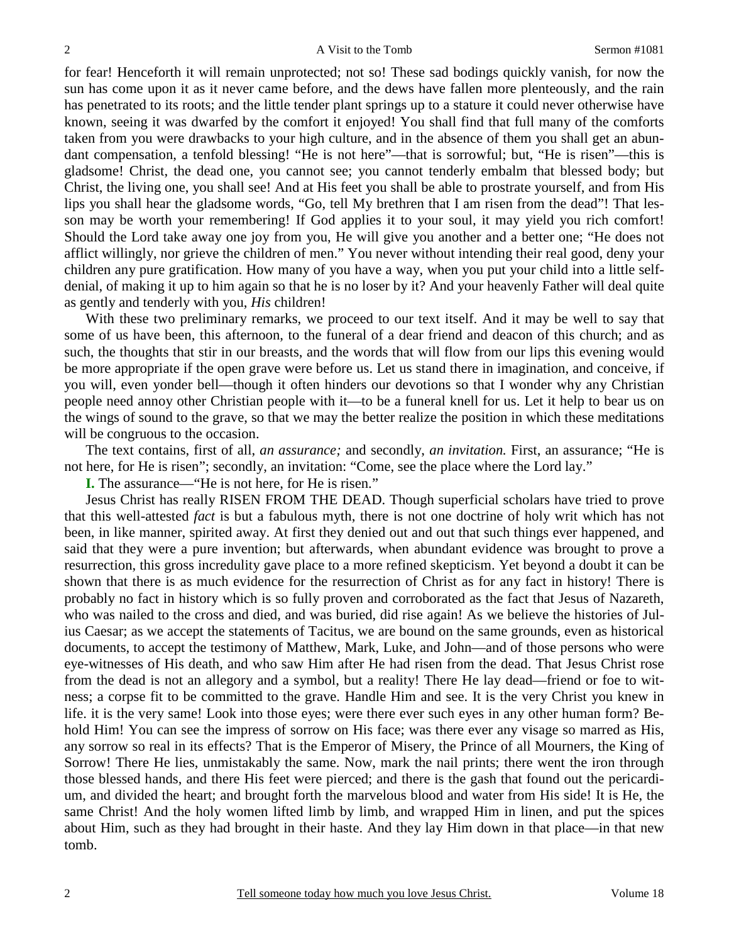for fear! Henceforth it will remain unprotected; not so! These sad bodings quickly vanish, for now the sun has come upon it as it never came before, and the dews have fallen more plenteously, and the rain has penetrated to its roots; and the little tender plant springs up to a stature it could never otherwise have known, seeing it was dwarfed by the comfort it enjoyed! You shall find that full many of the comforts taken from you were drawbacks to your high culture, and in the absence of them you shall get an abundant compensation, a tenfold blessing! "He is not here"—that is sorrowful; but, "He is risen"—this is gladsome! Christ, the dead one, you cannot see; you cannot tenderly embalm that blessed body; but Christ, the living one, you shall see! And at His feet you shall be able to prostrate yourself, and from His lips you shall hear the gladsome words, "Go, tell My brethren that I am risen from the dead"! That lesson may be worth your remembering! If God applies it to your soul, it may yield you rich comfort! Should the Lord take away one joy from you, He will give you another and a better one; "He does not afflict willingly, nor grieve the children of men." You never without intending their real good, deny your children any pure gratification. How many of you have a way, when you put your child into a little selfdenial, of making it up to him again so that he is no loser by it? And your heavenly Father will deal quite as gently and tenderly with you, *His* children!

With these two preliminary remarks, we proceed to our text itself. And it may be well to say that some of us have been, this afternoon, to the funeral of a dear friend and deacon of this church; and as such, the thoughts that stir in our breasts, and the words that will flow from our lips this evening would be more appropriate if the open grave were before us. Let us stand there in imagination, and conceive, if you will, even yonder bell—though it often hinders our devotions so that I wonder why any Christian people need annoy other Christian people with it—to be a funeral knell for us. Let it help to bear us on the wings of sound to the grave, so that we may the better realize the position in which these meditations will be congruous to the occasion.

The text contains, first of all, *an assurance;* and secondly, *an invitation.* First, an assurance; "He is not here, for He is risen"; secondly, an invitation: "Come, see the place where the Lord lay."

**I.** The assurance—"He is not here, for He is risen."

Jesus Christ has really RISEN FROM THE DEAD. Though superficial scholars have tried to prove that this well-attested *fact* is but a fabulous myth, there is not one doctrine of holy writ which has not been, in like manner, spirited away. At first they denied out and out that such things ever happened, and said that they were a pure invention; but afterwards, when abundant evidence was brought to prove a resurrection, this gross incredulity gave place to a more refined skepticism. Yet beyond a doubt it can be shown that there is as much evidence for the resurrection of Christ as for any fact in history! There is probably no fact in history which is so fully proven and corroborated as the fact that Jesus of Nazareth, who was nailed to the cross and died, and was buried, did rise again! As we believe the histories of Julius Caesar; as we accept the statements of Tacitus, we are bound on the same grounds, even as historical documents, to accept the testimony of Matthew, Mark, Luke, and John—and of those persons who were eye-witnesses of His death, and who saw Him after He had risen from the dead. That Jesus Christ rose from the dead is not an allegory and a symbol, but a reality! There He lay dead—friend or foe to witness; a corpse fit to be committed to the grave. Handle Him and see. It is the very Christ you knew in life. it is the very same! Look into those eyes; were there ever such eyes in any other human form? Behold Him! You can see the impress of sorrow on His face; was there ever any visage so marred as His, any sorrow so real in its effects? That is the Emperor of Misery, the Prince of all Mourners, the King of Sorrow! There He lies, unmistakably the same. Now, mark the nail prints; there went the iron through those blessed hands, and there His feet were pierced; and there is the gash that found out the pericardium, and divided the heart; and brought forth the marvelous blood and water from His side! It is He, the same Christ! And the holy women lifted limb by limb, and wrapped Him in linen, and put the spices about Him, such as they had brought in their haste. And they lay Him down in that place—in that new tomb.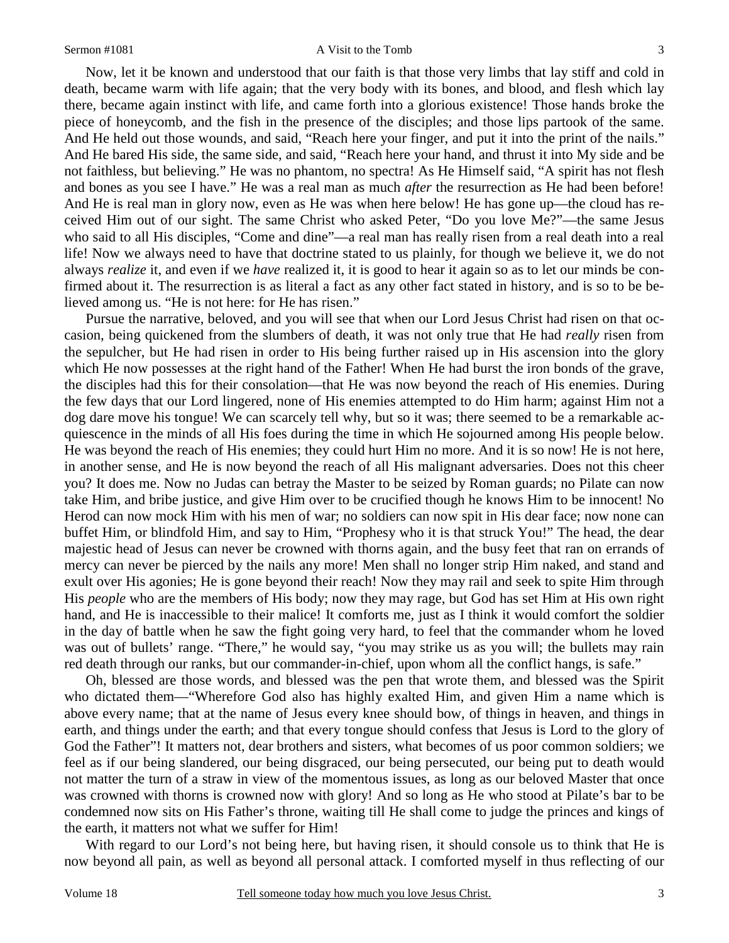#### Sermon #1081 A Visit to the Tomb

3

Now, let it be known and understood that our faith is that those very limbs that lay stiff and cold in death, became warm with life again; that the very body with its bones, and blood, and flesh which lay there, became again instinct with life, and came forth into a glorious existence! Those hands broke the piece of honeycomb, and the fish in the presence of the disciples; and those lips partook of the same. And He held out those wounds, and said, "Reach here your finger, and put it into the print of the nails." And He bared His side, the same side, and said, "Reach here your hand, and thrust it into My side and be not faithless, but believing." He was no phantom, no spectra! As He Himself said, "A spirit has not flesh and bones as you see I have." He was a real man as much *after* the resurrection as He had been before! And He is real man in glory now, even as He was when here below! He has gone up—the cloud has received Him out of our sight. The same Christ who asked Peter, "Do you love Me?"—the same Jesus who said to all His disciples, "Come and dine"—a real man has really risen from a real death into a real life! Now we always need to have that doctrine stated to us plainly, for though we believe it, we do not always *realize* it, and even if we *have* realized it, it is good to hear it again so as to let our minds be confirmed about it. The resurrection is as literal a fact as any other fact stated in history, and is so to be believed among us. "He is not here: for He has risen."

Pursue the narrative, beloved, and you will see that when our Lord Jesus Christ had risen on that occasion, being quickened from the slumbers of death, it was not only true that He had *really* risen from the sepulcher, but He had risen in order to His being further raised up in His ascension into the glory which He now possesses at the right hand of the Father! When He had burst the iron bonds of the grave, the disciples had this for their consolation—that He was now beyond the reach of His enemies. During the few days that our Lord lingered, none of His enemies attempted to do Him harm; against Him not a dog dare move his tongue! We can scarcely tell why, but so it was; there seemed to be a remarkable acquiescence in the minds of all His foes during the time in which He sojourned among His people below. He was beyond the reach of His enemies; they could hurt Him no more. And it is so now! He is not here, in another sense, and He is now beyond the reach of all His malignant adversaries. Does not this cheer you? It does me. Now no Judas can betray the Master to be seized by Roman guards; no Pilate can now take Him, and bribe justice, and give Him over to be crucified though he knows Him to be innocent! No Herod can now mock Him with his men of war; no soldiers can now spit in His dear face; now none can buffet Him, or blindfold Him, and say to Him, "Prophesy who it is that struck You!" The head, the dear majestic head of Jesus can never be crowned with thorns again, and the busy feet that ran on errands of mercy can never be pierced by the nails any more! Men shall no longer strip Him naked, and stand and exult over His agonies; He is gone beyond their reach! Now they may rail and seek to spite Him through His *people* who are the members of His body; now they may rage, but God has set Him at His own right hand, and He is inaccessible to their malice! It comforts me, just as I think it would comfort the soldier in the day of battle when he saw the fight going very hard, to feel that the commander whom he loved was out of bullets' range. "There," he would say, "you may strike us as you will; the bullets may rain red death through our ranks, but our commander-in-chief, upon whom all the conflict hangs, is safe."

Oh, blessed are those words, and blessed was the pen that wrote them, and blessed was the Spirit who dictated them—"Wherefore God also has highly exalted Him, and given Him a name which is above every name; that at the name of Jesus every knee should bow, of things in heaven, and things in earth, and things under the earth; and that every tongue should confess that Jesus is Lord to the glory of God the Father"! It matters not, dear brothers and sisters, what becomes of us poor common soldiers; we feel as if our being slandered, our being disgraced, our being persecuted, our being put to death would not matter the turn of a straw in view of the momentous issues, as long as our beloved Master that once was crowned with thorns is crowned now with glory! And so long as He who stood at Pilate's bar to be condemned now sits on His Father's throne, waiting till He shall come to judge the princes and kings of the earth, it matters not what we suffer for Him!

With regard to our Lord's not being here, but having risen, it should console us to think that He is now beyond all pain, as well as beyond all personal attack. I comforted myself in thus reflecting of our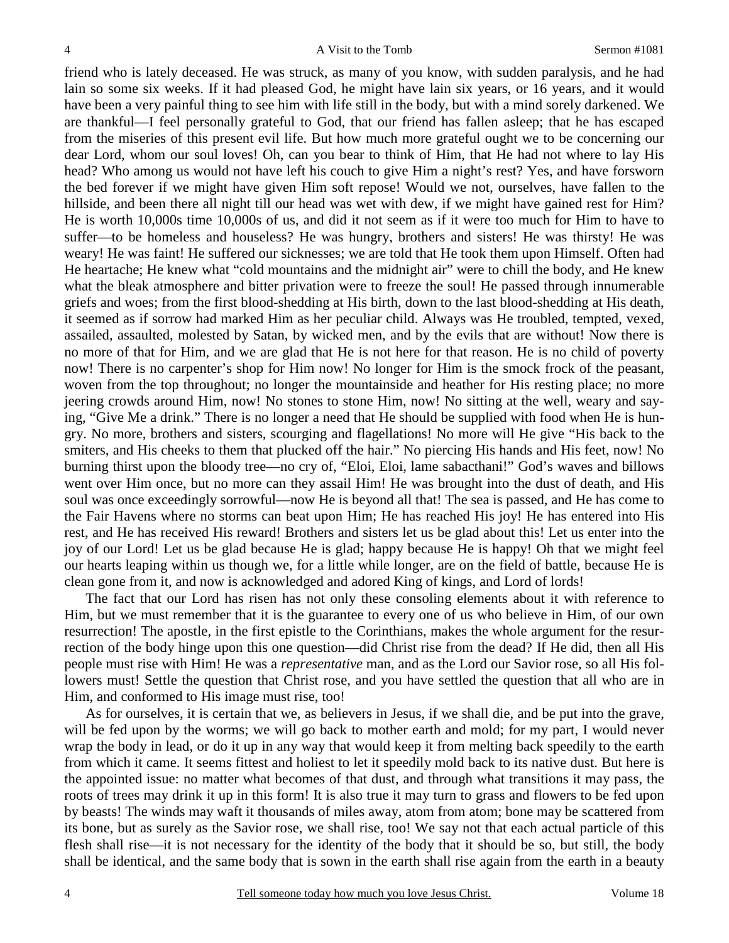friend who is lately deceased. He was struck, as many of you know, with sudden paralysis, and he had lain so some six weeks. If it had pleased God, he might have lain six years, or 16 years, and it would have been a very painful thing to see him with life still in the body, but with a mind sorely darkened. We are thankful—I feel personally grateful to God, that our friend has fallen asleep; that he has escaped from the miseries of this present evil life. But how much more grateful ought we to be concerning our dear Lord, whom our soul loves! Oh, can you bear to think of Him, that He had not where to lay His head? Who among us would not have left his couch to give Him a night's rest? Yes, and have forsworn the bed forever if we might have given Him soft repose! Would we not, ourselves, have fallen to the hillside, and been there all night till our head was wet with dew, if we might have gained rest for Him? He is worth 10,000s time 10,000s of us, and did it not seem as if it were too much for Him to have to suffer—to be homeless and houseless? He was hungry, brothers and sisters! He was thirsty! He was weary! He was faint! He suffered our sicknesses; we are told that He took them upon Himself. Often had He heartache; He knew what "cold mountains and the midnight air" were to chill the body, and He knew what the bleak atmosphere and bitter privation were to freeze the soul! He passed through innumerable griefs and woes; from the first blood-shedding at His birth, down to the last blood-shedding at His death, it seemed as if sorrow had marked Him as her peculiar child. Always was He troubled, tempted, vexed, assailed, assaulted, molested by Satan, by wicked men, and by the evils that are without! Now there is no more of that for Him, and we are glad that He is not here for that reason. He is no child of poverty now! There is no carpenter's shop for Him now! No longer for Him is the smock frock of the peasant, woven from the top throughout; no longer the mountainside and heather for His resting place; no more jeering crowds around Him, now! No stones to stone Him, now! No sitting at the well, weary and saying, "Give Me a drink." There is no longer a need that He should be supplied with food when He is hungry. No more, brothers and sisters, scourging and flagellations! No more will He give "His back to the smiters, and His cheeks to them that plucked off the hair." No piercing His hands and His feet, now! No burning thirst upon the bloody tree—no cry of, "Eloi, Eloi, lame sabacthani!" God's waves and billows went over Him once, but no more can they assail Him! He was brought into the dust of death, and His soul was once exceedingly sorrowful—now He is beyond all that! The sea is passed, and He has come to the Fair Havens where no storms can beat upon Him; He has reached His joy! He has entered into His rest, and He has received His reward! Brothers and sisters let us be glad about this! Let us enter into the joy of our Lord! Let us be glad because He is glad; happy because He is happy! Oh that we might feel our hearts leaping within us though we, for a little while longer, are on the field of battle, because He is clean gone from it, and now is acknowledged and adored King of kings, and Lord of lords!

The fact that our Lord has risen has not only these consoling elements about it with reference to Him, but we must remember that it is the guarantee to every one of us who believe in Him, of our own resurrection! The apostle, in the first epistle to the Corinthians, makes the whole argument for the resurrection of the body hinge upon this one question—did Christ rise from the dead? If He did, then all His people must rise with Him! He was a *representative* man, and as the Lord our Savior rose, so all His followers must! Settle the question that Christ rose, and you have settled the question that all who are in Him, and conformed to His image must rise, too!

As for ourselves, it is certain that we, as believers in Jesus, if we shall die, and be put into the grave, will be fed upon by the worms; we will go back to mother earth and mold; for my part, I would never wrap the body in lead, or do it up in any way that would keep it from melting back speedily to the earth from which it came. It seems fittest and holiest to let it speedily mold back to its native dust. But here is the appointed issue: no matter what becomes of that dust, and through what transitions it may pass, the roots of trees may drink it up in this form! It is also true it may turn to grass and flowers to be fed upon by beasts! The winds may waft it thousands of miles away, atom from atom; bone may be scattered from its bone, but as surely as the Savior rose, we shall rise, too! We say not that each actual particle of this flesh shall rise—it is not necessary for the identity of the body that it should be so, but still, the body shall be identical, and the same body that is sown in the earth shall rise again from the earth in a beauty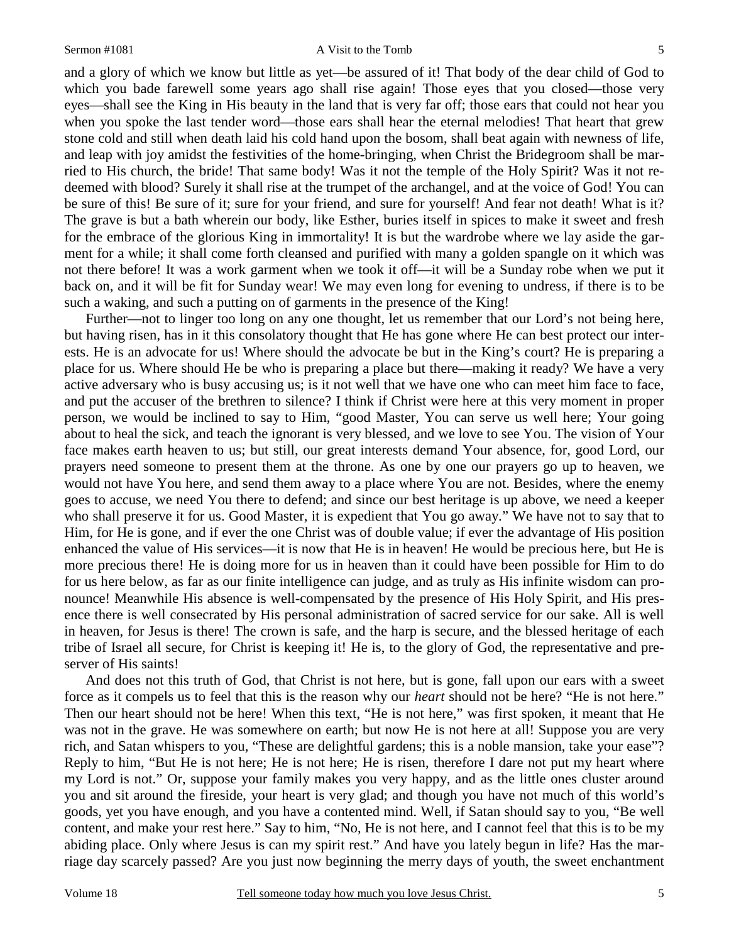#### Sermon #1081 A Visit to the Tomb

5

and a glory of which we know but little as yet—be assured of it! That body of the dear child of God to which you bade farewell some years ago shall rise again! Those eyes that you closed—those very eyes—shall see the King in His beauty in the land that is very far off; those ears that could not hear you when you spoke the last tender word—those ears shall hear the eternal melodies! That heart that grew stone cold and still when death laid his cold hand upon the bosom, shall beat again with newness of life, and leap with joy amidst the festivities of the home-bringing, when Christ the Bridegroom shall be married to His church, the bride! That same body! Was it not the temple of the Holy Spirit? Was it not redeemed with blood? Surely it shall rise at the trumpet of the archangel, and at the voice of God! You can be sure of this! Be sure of it; sure for your friend, and sure for yourself! And fear not death! What is it? The grave is but a bath wherein our body, like Esther, buries itself in spices to make it sweet and fresh for the embrace of the glorious King in immortality! It is but the wardrobe where we lay aside the garment for a while; it shall come forth cleansed and purified with many a golden spangle on it which was not there before! It was a work garment when we took it off—it will be a Sunday robe when we put it back on, and it will be fit for Sunday wear! We may even long for evening to undress, if there is to be such a waking, and such a putting on of garments in the presence of the King!

Further—not to linger too long on any one thought, let us remember that our Lord's not being here, but having risen, has in it this consolatory thought that He has gone where He can best protect our interests. He is an advocate for us! Where should the advocate be but in the King's court? He is preparing a place for us. Where should He be who is preparing a place but there—making it ready? We have a very active adversary who is busy accusing us; is it not well that we have one who can meet him face to face, and put the accuser of the brethren to silence? I think if Christ were here at this very moment in proper person, we would be inclined to say to Him, "good Master, You can serve us well here; Your going about to heal the sick, and teach the ignorant is very blessed, and we love to see You. The vision of Your face makes earth heaven to us; but still, our great interests demand Your absence, for, good Lord, our prayers need someone to present them at the throne. As one by one our prayers go up to heaven, we would not have You here, and send them away to a place where You are not. Besides, where the enemy goes to accuse, we need You there to defend; and since our best heritage is up above, we need a keeper who shall preserve it for us. Good Master, it is expedient that You go away." We have not to say that to Him, for He is gone, and if ever the one Christ was of double value; if ever the advantage of His position enhanced the value of His services—it is now that He is in heaven! He would be precious here, but He is more precious there! He is doing more for us in heaven than it could have been possible for Him to do for us here below, as far as our finite intelligence can judge, and as truly as His infinite wisdom can pronounce! Meanwhile His absence is well-compensated by the presence of His Holy Spirit, and His presence there is well consecrated by His personal administration of sacred service for our sake. All is well in heaven, for Jesus is there! The crown is safe, and the harp is secure, and the blessed heritage of each tribe of Israel all secure, for Christ is keeping it! He is, to the glory of God, the representative and preserver of His saints!

And does not this truth of God, that Christ is not here, but is gone, fall upon our ears with a sweet force as it compels us to feel that this is the reason why our *heart* should not be here? "He is not here." Then our heart should not be here! When this text, "He is not here," was first spoken, it meant that He was not in the grave. He was somewhere on earth; but now He is not here at all! Suppose you are very rich, and Satan whispers to you, "These are delightful gardens; this is a noble mansion, take your ease"? Reply to him, "But He is not here; He is not here; He is risen, therefore I dare not put my heart where my Lord is not." Or, suppose your family makes you very happy, and as the little ones cluster around you and sit around the fireside, your heart is very glad; and though you have not much of this world's goods, yet you have enough, and you have a contented mind. Well, if Satan should say to you, "Be well content, and make your rest here." Say to him, "No, He is not here, and I cannot feel that this is to be my abiding place. Only where Jesus is can my spirit rest." And have you lately begun in life? Has the marriage day scarcely passed? Are you just now beginning the merry days of youth, the sweet enchantment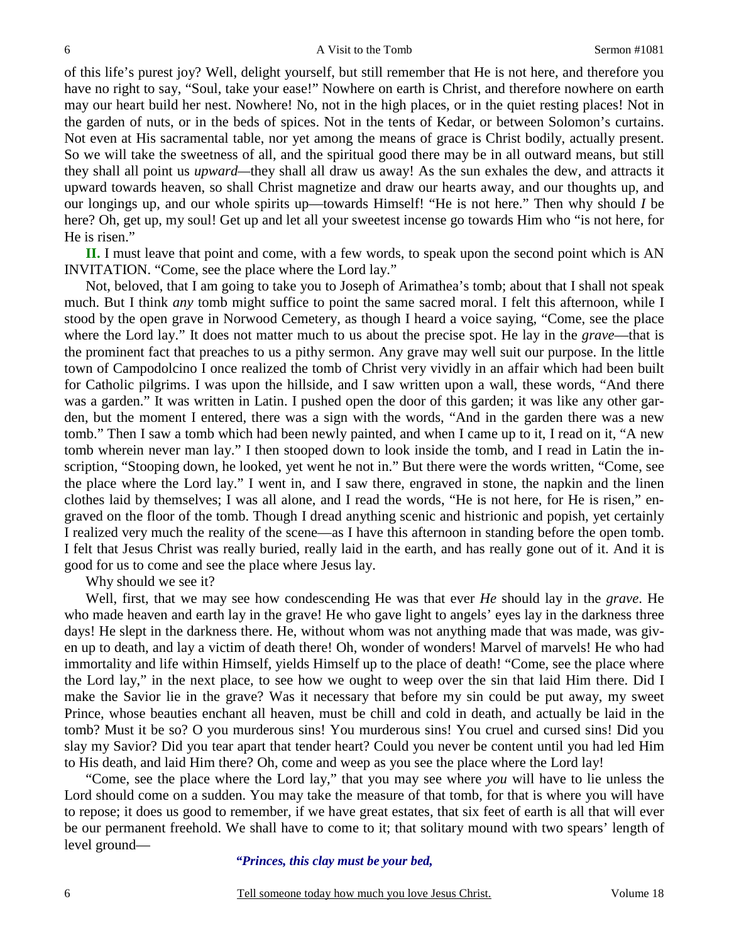of this life's purest joy? Well, delight yourself, but still remember that He is not here, and therefore you have no right to say, "Soul, take your ease!" Nowhere on earth is Christ, and therefore nowhere on earth may our heart build her nest. Nowhere! No, not in the high places, or in the quiet resting places! Not in the garden of nuts, or in the beds of spices. Not in the tents of Kedar, or between Solomon's curtains. Not even at His sacramental table, nor yet among the means of grace is Christ bodily, actually present. So we will take the sweetness of all, and the spiritual good there may be in all outward means, but still they shall all point us *upward—*they shall all draw us away! As the sun exhales the dew, and attracts it upward towards heaven, so shall Christ magnetize and draw our hearts away, and our thoughts up, and our longings up, and our whole spirits up—towards Himself! "He is not here." Then why should *I* be here? Oh, get up, my soul! Get up and let all your sweetest incense go towards Him who "is not here, for He is risen."

**II.** I must leave that point and come, with a few words, to speak upon the second point which is AN INVITATION. "Come, see the place where the Lord lay."

Not, beloved, that I am going to take you to Joseph of Arimathea's tomb; about that I shall not speak much. But I think *any* tomb might suffice to point the same sacred moral. I felt this afternoon, while I stood by the open grave in Norwood Cemetery, as though I heard a voice saying, "Come, see the place where the Lord lay." It does not matter much to us about the precise spot. He lay in the *grave*—that is the prominent fact that preaches to us a pithy sermon. Any grave may well suit our purpose. In the little town of Campodolcino I once realized the tomb of Christ very vividly in an affair which had been built for Catholic pilgrims. I was upon the hillside, and I saw written upon a wall, these words, "And there was a garden." It was written in Latin. I pushed open the door of this garden; it was like any other garden, but the moment I entered, there was a sign with the words, "And in the garden there was a new tomb." Then I saw a tomb which had been newly painted, and when I came up to it, I read on it, "A new tomb wherein never man lay." I then stooped down to look inside the tomb, and I read in Latin the inscription, "Stooping down, he looked, yet went he not in." But there were the words written, "Come, see the place where the Lord lay." I went in, and I saw there, engraved in stone, the napkin and the linen clothes laid by themselves; I was all alone, and I read the words, "He is not here, for He is risen," engraved on the floor of the tomb. Though I dread anything scenic and histrionic and popish, yet certainly I realized very much the reality of the scene—as I have this afternoon in standing before the open tomb. I felt that Jesus Christ was really buried, really laid in the earth, and has really gone out of it. And it is good for us to come and see the place where Jesus lay.

Why should we see it?

Well, first, that we may see how condescending He was that ever *He* should lay in the *grave*. He who made heaven and earth lay in the grave! He who gave light to angels' eyes lay in the darkness three days! He slept in the darkness there. He, without whom was not anything made that was made, was given up to death, and lay a victim of death there! Oh, wonder of wonders! Marvel of marvels! He who had immortality and life within Himself, yields Himself up to the place of death! "Come, see the place where the Lord lay," in the next place, to see how we ought to weep over the sin that laid Him there. Did I make the Savior lie in the grave? Was it necessary that before my sin could be put away, my sweet Prince, whose beauties enchant all heaven, must be chill and cold in death, and actually be laid in the tomb? Must it be so? O you murderous sins! You murderous sins! You cruel and cursed sins! Did you slay my Savior? Did you tear apart that tender heart? Could you never be content until you had led Him to His death, and laid Him there? Oh, come and weep as you see the place where the Lord lay!

"Come, see the place where the Lord lay," that you may see where *you* will have to lie unless the Lord should come on a sudden. You may take the measure of that tomb, for that is where you will have to repose; it does us good to remember, if we have great estates, that six feet of earth is all that will ever be our permanent freehold. We shall have to come to it; that solitary mound with two spears' length of level ground—

*"Princes, this clay must be your bed,*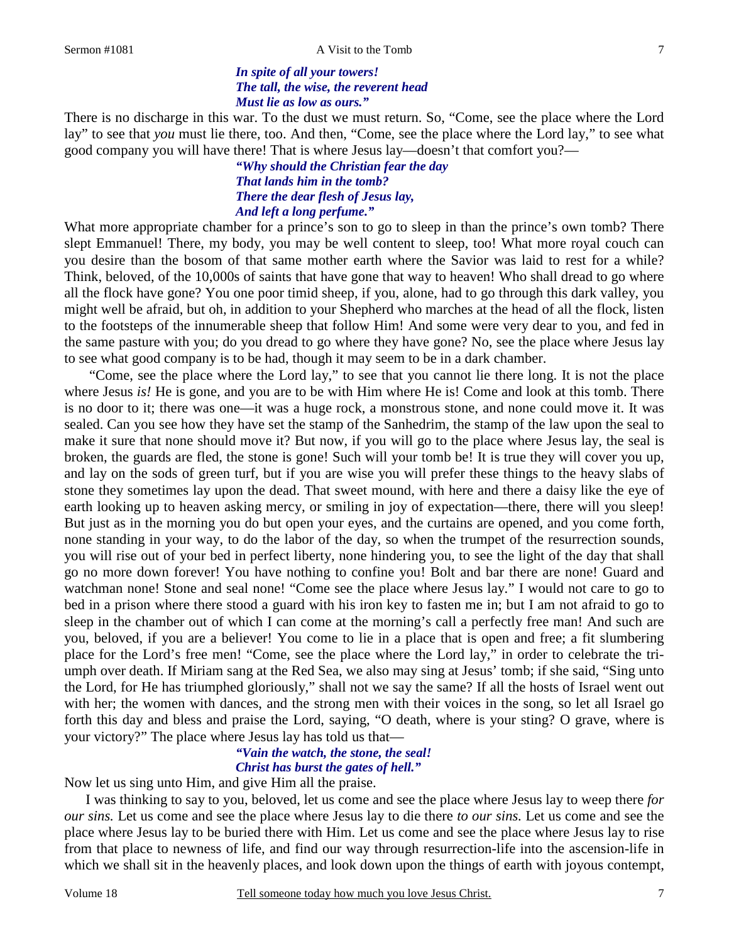7

### *In spite of all your towers! The tall, the wise, the reverent head Must lie as low as ours."*

There is no discharge in this war. To the dust we must return. So, "Come, see the place where the Lord lay" to see that *you* must lie there, too. And then, "Come, see the place where the Lord lay," to see what good company you will have there! That is where Jesus lay—doesn't that comfort you?—

> *"Why should the Christian fear the day That lands him in the tomb? There the dear flesh of Jesus lay, And left a long perfume."*

What more appropriate chamber for a prince's son to go to sleep in than the prince's own tomb? There slept Emmanuel! There, my body, you may be well content to sleep, too! What more royal couch can you desire than the bosom of that same mother earth where the Savior was laid to rest for a while? Think, beloved, of the 10,000s of saints that have gone that way to heaven! Who shall dread to go where all the flock have gone? You one poor timid sheep, if you, alone, had to go through this dark valley, you might well be afraid, but oh, in addition to your Shepherd who marches at the head of all the flock, listen to the footsteps of the innumerable sheep that follow Him! And some were very dear to you, and fed in the same pasture with you; do you dread to go where they have gone? No, see the place where Jesus lay to see what good company is to be had, though it may seem to be in a dark chamber.

 "Come, see the place where the Lord lay," to see that you cannot lie there long. It is not the place where Jesus *is!* He is gone, and you are to be with Him where He is! Come and look at this tomb. There is no door to it; there was one—it was a huge rock, a monstrous stone, and none could move it. It was sealed. Can you see how they have set the stamp of the Sanhedrim, the stamp of the law upon the seal to make it sure that none should move it? But now, if you will go to the place where Jesus lay, the seal is broken, the guards are fled, the stone is gone! Such will your tomb be! It is true they will cover you up, and lay on the sods of green turf, but if you are wise you will prefer these things to the heavy slabs of stone they sometimes lay upon the dead. That sweet mound, with here and there a daisy like the eye of earth looking up to heaven asking mercy, or smiling in joy of expectation—there, there will you sleep! But just as in the morning you do but open your eyes, and the curtains are opened, and you come forth, none standing in your way, to do the labor of the day, so when the trumpet of the resurrection sounds, you will rise out of your bed in perfect liberty, none hindering you, to see the light of the day that shall go no more down forever! You have nothing to confine you! Bolt and bar there are none! Guard and watchman none! Stone and seal none! "Come see the place where Jesus lay." I would not care to go to bed in a prison where there stood a guard with his iron key to fasten me in; but I am not afraid to go to sleep in the chamber out of which I can come at the morning's call a perfectly free man! And such are you, beloved, if you are a believer! You come to lie in a place that is open and free; a fit slumbering place for the Lord's free men! "Come, see the place where the Lord lay," in order to celebrate the triumph over death. If Miriam sang at the Red Sea, we also may sing at Jesus' tomb; if she said, "Sing unto the Lord, for He has triumphed gloriously," shall not we say the same? If all the hosts of Israel went out with her; the women with dances, and the strong men with their voices in the song, so let all Israel go forth this day and bless and praise the Lord, saying, "O death, where is your sting? O grave, where is your victory?" The place where Jesus lay has told us that—

# *"Vain the watch, the stone, the seal! Christ has burst the gates of hell."*

Now let us sing unto Him, and give Him all the praise.

I was thinking to say to you, beloved, let us come and see the place where Jesus lay to weep there *for our sins.* Let us come and see the place where Jesus lay to die there *to our sins.* Let us come and see the place where Jesus lay to be buried there with Him. Let us come and see the place where Jesus lay to rise from that place to newness of life, and find our way through resurrection-life into the ascension-life in which we shall sit in the heavenly places, and look down upon the things of earth with joyous contempt,